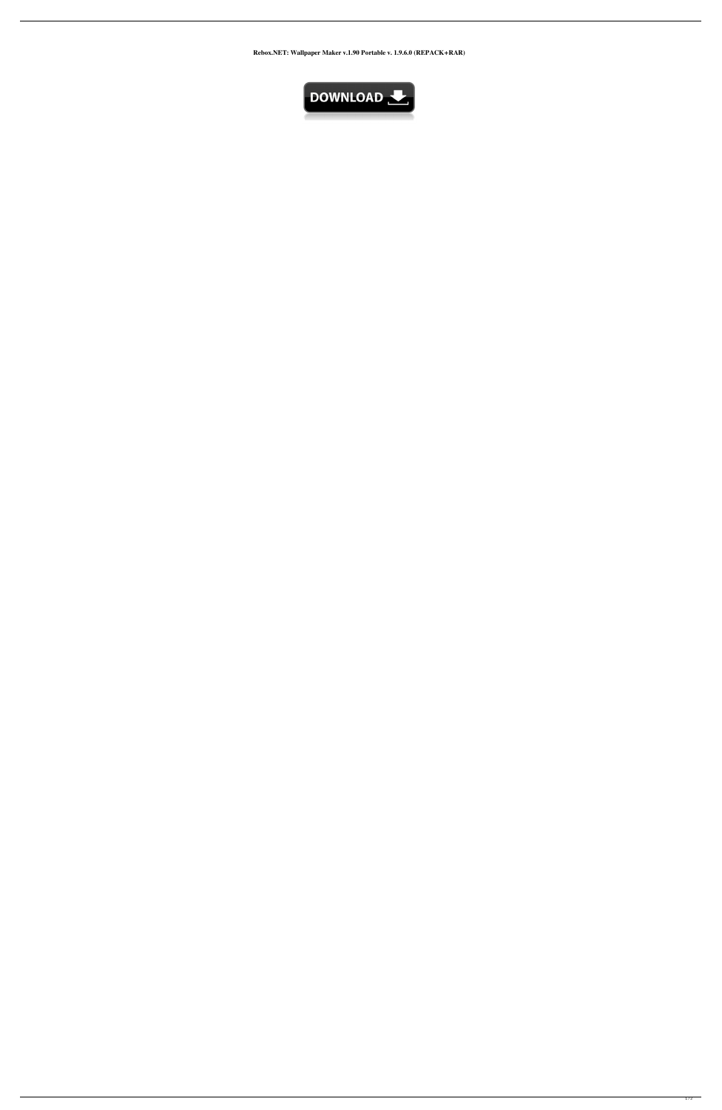**Rebox.NET: Wallpaper Maker v.1.90 Portable v. 1.9.6.0 (REPACK+RAR)**